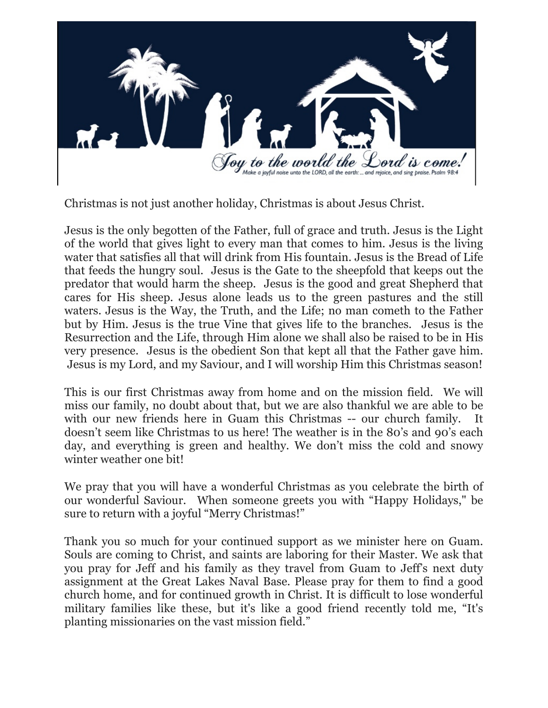

Christmas is not just another holiday, Christmas is about Jesus Christ.

Jesus is the only begotten of the Father, full of grace and truth. Jesus is the Light of the world that gives light to every man that comes to him. Jesus is the living water that satisfies all that will drink from His fountain. Jesus is the Bread of Life that feeds the hungry soul. Jesus is the Gate to the sheepfold that keeps out the predator that would harm the sheep. Jesus is the good and great Shepherd that cares for His sheep. Jesus alone leads us to the green pastures and the still waters. Jesus is the Way, the Truth, and the Life; no man cometh to the Father but by Him. Jesus is the true Vine that gives life to the branches. Jesus is the Resurrection and the Life, through Him alone we shall also be raised to be in His very presence. Jesus is the obedient Son that kept all that the Father gave him. Jesus is my Lord, and my Saviour, and I will worship Him this Christmas season!

This is our first Christmas away from home and on the mission field. We will miss our family, no doubt about that, but we are also thankful we are able to be with our new friends here in Guam this Christmas -- our church family. It doesn't seem like Christmas to us here! The weather is in the 80's and 90's each day, and everything is green and healthy. We don't miss the cold and snowy winter weather one bit!

We pray that you will have a wonderful Christmas as you celebrate the birth of our wonderful Saviour. When someone greets you with "Happy Holidays," be sure to return with a joyful "Merry Christmas!"

Thank you so much for your continued support as we minister here on Guam. Souls are coming to Christ, and saints are laboring for their Master. We ask that you pray for Jeff and his family as they travel from Guam to Jeff's next duty assignment at the Great Lakes Naval Base. Please pray for them to find a good church home, and for continued growth in Christ. It is difficult to lose wonderful military families like these, but it's like a good friend recently told me, "It's planting missionaries on the vast mission field."